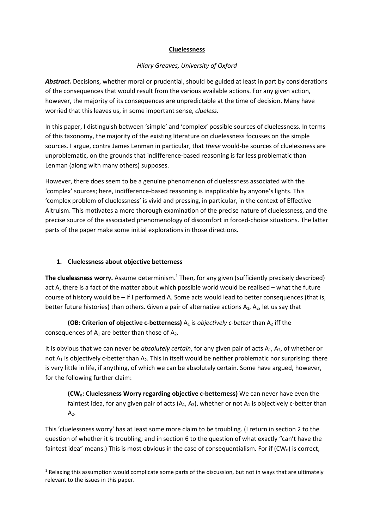#### Cluelessness

## Hilary Greaves, University of Oxford

Abstract. Decisions, whether moral or prudential, should be guided at least in part by considerations of the consequences that would result from the various available actions. For any given action, however, the majority of its consequences are unpredictable at the time of decision. Many have worried that this leaves us, in some important sense, clueless.

In this paper, I distinguish between 'simple' and 'complex' possible sources of cluelessness. In terms of this taxonomy, the majority of the existing literature on cluelessness focusses on the simple sources. I argue, contra James Lenman in particular, that these would-be sources of cluelessness are unproblematic, on the grounds that indifference-based reasoning is far less problematic than Lenman (along with many others) supposes.

However, there does seem to be a genuine phenomenon of cluelessness associated with the 'complex' sources; here, indifference-based reasoning is inapplicable by anyone's lights. This 'complex problem of cluelessness' is vivid and pressing, in particular, in the context of Effective Altruism. This motivates a more thorough examination of the precise nature of cluelessness, and the precise source of the associated phenomenology of discomfort in forced-choice situations. The latter parts of the paper make some initial explorations in those directions.

## 1. Cluelessness about objective betterness

-

The cluelessness worry. Assume determinism. $<sup>1</sup>$  Then, for any given (sufficiently precisely described)</sup> act A, there is a fact of the matter about which possible world would be realised – what the future course of history would be – if I performed A. Some acts would lead to better consequences (that is, better future histories) than others. Given a pair of alternative actions  $A_1$ ,  $A_2$ , let us say that

(OB: Criterion of objective c-betterness)  $A_1$  is objectively c-better than  $A_2$  iff the consequences of  $A_1$  are better than those of  $A_2$ .

It is obvious that we can never be *absolutely certain*, for any given pair of acts  $A_1$ ,  $A_2$ , of whether or not  $A_1$  is objectively c-better than  $A_2$ . This in itself would be neither problematic nor surprising: there is very little in life, if anything, of which we can be absolutely certain. Some have argued, however, for the following further claim:

(CWo: Cluelessness Worry regarding objective c-betterness) We can never have even the faintest idea, for any given pair of acts  $(A_1, A_2)$ , whether or not  $A_1$  is objectively c-better than  $A<sub>2</sub>$ .

This 'cluelessness worry' has at least some more claim to be troubling. (I return in section 2 to the question of whether it is troubling; and in section 6 to the question of what exactly "can't have the faintest idea" means.) This is most obvious in the case of consequentialism. For if  $(CW_0)$  is correct,

<sup>&</sup>lt;sup>1</sup> Relaxing this assumption would complicate some parts of the discussion, but not in ways that are ultimately relevant to the issues in this paper.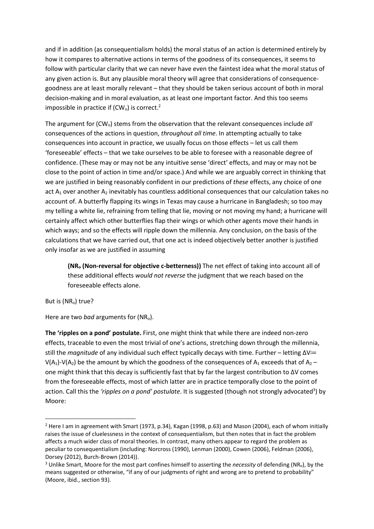and if in addition (as consequentialism holds) the moral status of an action is determined entirely by how it compares to alternative actions in terms of the goodness of its consequences, it seems to follow with particular clarity that we can never have even the faintest idea what the moral status of any given action is. But any plausible moral theory will agree that considerations of consequencegoodness are at least morally relevant – that they should be taken serious account of both in moral decision-making and in moral evaluation, as at least one important factor. And this too seems impossible in practice if  $(CW_0)$  is correct.<sup>2</sup>

The argument for  $(CW_0)$  stems from the observation that the relevant consequences include all consequences of the actions in question, throughout all time. In attempting actually to take consequences into account in practice, we usually focus on those effects – let us call them 'foreseeable' effects – that we take ourselves to be able to foresee with a reasonable degree of confidence. (These may or may not be any intuitive sense 'direct' effects, and may or may not be close to the point of action in time and/or space.) And while we are arguably correct in thinking that we are justified in being reasonably confident in our predictions of these effects, any choice of one act  $A_1$  over another  $A_2$  inevitably has countless additional consequences that our calculation takes no account of. A butterfly flapping its wings in Texas may cause a hurricane in Bangladesh; so too may my telling a white lie, refraining from telling that lie, moving or not moving my hand; a hurricane will certainly affect which other butterflies flap their wings or which other agents move their hands in which ways; and so the effects will ripple down the millennia. Any conclusion, on the basis of the calculations that we have carried out, that one act is indeed objectively better another is justified only insofar as we are justified in assuming

(NR<sub>o</sub> (Non-reversal for objective c-betterness)) The net effect of taking into account all of these additional effects would not reverse the judgment that we reach based on the foreseeable effects alone.

But is (NR<sub>o</sub>) true?

-

Here are two bad arguments for  $(NR_0)$ .

The 'ripples on a pond' postulate. First, one might think that while there are indeed non-zero effects, traceable to even the most trivial of one's actions, stretching down through the millennia, still the magnitude of any individual such effect typically decays with time. Further – letting ΔV≔ V(A<sub>1</sub>)-V(A<sub>2</sub>) be the amount by which the goodness of the consequences of A<sub>1</sub> exceeds that of A<sub>2</sub> – one might think that this decay is sufficiently fast that by far the largest contribution to ΔV comes from the foreseeable effects, most of which latter are in practice temporally close to the point of action. Call this the 'ripples on a pond' postulate. It is suggested (though not strongly advocated<sup>3</sup>) by Moore:

<sup>&</sup>lt;sup>2</sup> Here I am in agreement with Smart (1973, p.34), Kagan (1998, p.63) and Mason (2004), each of whom initially raises the issue of cluelessness in the context of consequentialism, but then notes that in fact the problem affects a much wider class of moral theories. In contrast, many others appear to regard the problem as peculiar to consequentialism (including: Norcross (1990), Lenman (2000), Cowen (2006), Feldman (2006), Dorsey (2012), Burch-Brown (2014)).

<sup>&</sup>lt;sup>3</sup> Unlike Smart, Moore for the most part confines himself to asserting the necessity of defending (NR<sub>o</sub>), by the means suggested or otherwise, "if any of our judgments of right and wrong are to pretend to probability" (Moore, ibid., section 93).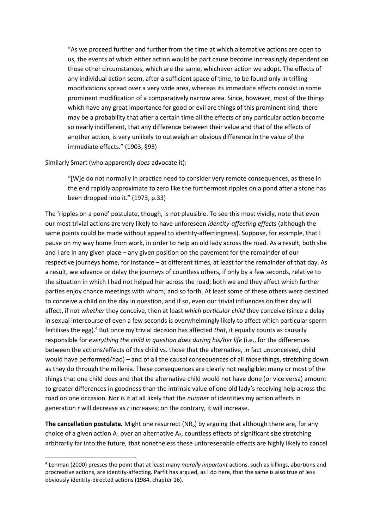"As we proceed further and further from the time at which alternative actions are open to us, the events of which either action would be part cause become increasingly dependent on those other circumstances, which are the same, whichever action we adopt. The effects of any individual action seem, after a sufficient space of time, to be found only in trifling modifications spread over a very wide area, whereas its immediate effects consist in some prominent modification of a comparatively narrow area. Since, however, most of the things which have any great importance for good or evil are things of this prominent kind, there may be a probability that after a certain time all the effects of any particular action become so nearly indifferent, that any difference between their value and that of the effects of another action, is very unlikely to outweigh an obvious difference in the value of the immediate effects." (1903, §93)

Similarly Smart (who apparently does advocate it):

-

"[W]e do not normally in practice need to consider very remote consequences, as these in the end rapidly approximate to zero like the furthermost ripples on a pond after a stone has been dropped into it." (1973, p.33)

The 'ripples on a pond' postulate, though, is not plausible. To see this most vividly, note that even our most trivial actions are very likely to have unforeseen *identity-affecting effects* (although the same points could be made without appeal to identity-affectingness). Suppose, for example, that I pause on my way home from work, in order to help an old lady across the road. As a result, both she and I are in any given place – any given position on the pavement for the remainder of our respective journeys home, for instance – at different times, at least for the remainder of that day. As a result, we advance or delay the journeys of countless others, if only by a few seconds, relative to the situation in which I had not helped her across the road; both we and they affect which further parties enjoy chance meetings with whom; and so forth. At least some of these others were destined to conceive a child on the day in question, and if so, even our trivial influences on their day will affect, if not whether they conceive, then at least which particular child they conceive (since a delay in sexual intercourse of even a few seconds is overwhelmingly likely to affect which particular sperm fertilises the egg).<sup>4</sup> But once my trivial decision has affected that, it equally counts as causally responsible for everything the child in question does during his/her life (i.e., for the differences between the actions/effects of this child vs. those that the alternative, in fact unconceived, child would have performed/had) – and of all the causal consequences of all those things, stretching down as they do through the millenia. These consequences are clearly not negligible: many or most of the things that one child does and that the alternative child would not have done (or vice versa) amount to greater differences in goodness than the intrinsic value of one old lady's receiving help across the road on one occasion. Nor is it at all likely that the *number* of identities my action affects in generation r will decrease as r increases; on the contrary, it will increase.

The cancellation postulate. Might one resurrect ( $NR<sub>o</sub>$ ) by arguing that although there are, for any choice of a given action  $A_1$  over an alternative  $A_2$ , countless effects of significant size stretching arbitrarily far into the future, that nonetheless these unforeseeable effects are highly likely to cancel

<sup>&</sup>lt;sup>4</sup> Lenman (2000) presses the point that at least many morally important actions, such as killings, abortions and procreative actions, are identity-affecting. Parfit has argued, as I do here, that the same is also true of less obviously identity-directed actions (1984, chapter 16).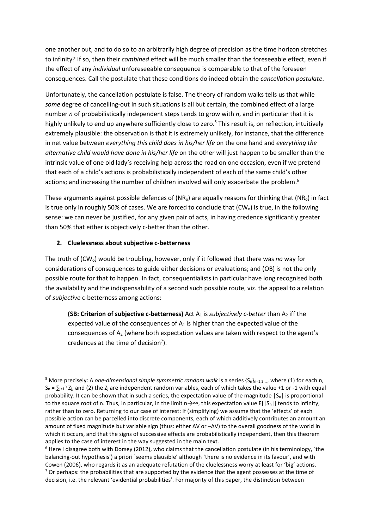one another out, and to do so to an arbitrarily high degree of precision as the time horizon stretches to infinity? If so, then their combined effect will be much smaller than the foreseeable effect, even if the effect of any individual unforeseeable consequence is comparable to that of the foreseen consequences. Call the postulate that these conditions do indeed obtain the cancellation postulate.

Unfortunately, the cancellation postulate is false. The theory of random walks tells us that while some degree of cancelling-out in such situations is all but certain, the combined effect of a large number n of probabilistically independent steps tends to grow with  $n$ , and in particular that it is highly unlikely to end up anywhere sufficiently close to zero.<sup>5</sup> This result is, on reflection, intuitively extremely plausible: the observation is that it is extremely unlikely, for instance, that the difference in net value between everything this child does in his/her life on the one hand and everything the alternative child would have done in his/her life on the other will just happen to be smaller than the intrinsic value of one old lady's receiving help across the road on one occasion, even if we pretend that each of a child's actions is probabilistically independent of each of the same child's other actions; and increasing the number of children involved will only exacerbate the problem.<sup>6</sup>

These arguments against possible defences of  $(NR_0)$  are equally reasons for thinking that  $(NR_0)$  in fact is true only in roughly 50% of cases. We are forced to conclude that  $(CW_0)$  is true, in the following sense: we can never be justified, for any given pair of acts, in having credence significantly greater than 50% that either is objectively c-better than the other.

# 2. Cluelessness about subjective c-betterness

-

The truth of  $(CW_0)$  would be troubling, however, only if it followed that there was no way for considerations of consequences to guide either decisions or evaluations; and (OB) is not the only possible route for that to happen. In fact, consequentialists in particular have long recognised both the availability and the indispensability of a second such possible route, viz. the appeal to a relation of subjective c-betterness among actions:

(SB: Criterion of subjective c-betterness) Act  $A_1$  is *subjectively c-better* than  $A_2$  iff the expected value of the consequences of  $A_1$  is higher than the expected value of the consequences of  $A_2$  (where both expectation values are taken with respect to the agent's credences at the time of decision $^7$ ).

<sup>&</sup>lt;sup>5</sup> More precisely: A one-dimensional simple symmetric random walk is a series  $\{S_n\}_{n=1,2,...}$ , where (1) for each n,  $S_n = \sum_{j=1}^n Z_j$ , and (2) the  $Z_j$  are independent random variables, each of which takes the value +1 or -1 with equal probability. It can be shown that in such a series, the expectation value of the magnitude  $|S_n|$  is proportional to the square root of n. Thus, in particular, in the limit n $\rightarrow \infty$ , this expectation value E[|S<sub>n</sub>|] tends to infinity, rather than to zero. Returning to our case of interest: If (simplifying) we assume that the 'effects' of each possible action can be parcelled into discrete components, each of which additively contributes an amount an amount of fixed magnitude but variable sign (thus: either ΔV or –ΔV) to the overall goodness of the world in which it occurs, and that the signs of successive effects are probabilistically independent, then this theorem applies to the case of interest in the way suggested in the main text.

<sup>&</sup>lt;sup>6</sup> Here I disagree both with Dorsey (2012), who claims that the cancellation postulate (in his terminology, `the balancing-out hypothesis') a priori `seems plausible' although `there is no evidence in its favour', and with Cowen (2006), who regards it as an adequate refutation of the cluelessness worry at least for 'big' actions.  $7$  Or perhaps: the probabilities that are supported by the evidence that the agent possesses at the time of decision, i.e. the relevant 'evidential probabilities'. For majority of this paper, the distinction between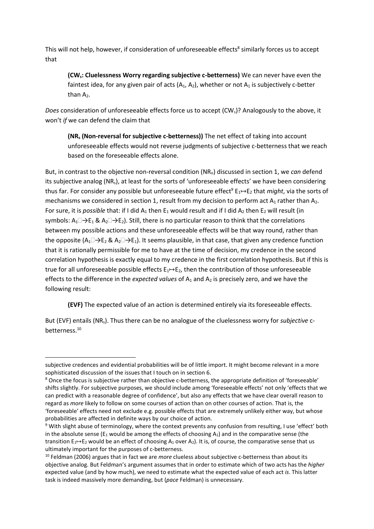This will not help, however, if consideration of unforeseeable effects<sup>8</sup> similarly forces us to accept that

(CWs: Cluelessness Worry regarding subjective c-betterness) We can never have even the faintest idea, for any given pair of acts  $(A_1, A_2)$ , whether or not  $A_1$  is subjectively c-better than  $A_2$ .

Does consideration of unforeseeable effects force us to accept  $(CW<sub>s</sub>)$ ? Analogously to the above, it won't if we can defend the claim that

(NRs (Non-reversal for subjective c-betterness)) The net effect of taking into account unforeseeable effects would not reverse judgments of subjective c-betterness that we reach based on the foreseeable effects alone.

But, in contrast to the objective non-reversal condition ( $NR<sub>o</sub>$ ) discussed in section 1, we can defend its subjective analog (NRs), at least for the sorts of 'unforeseeable effects' we have been considering thus far. For consider any possible but unforeseeable future effect<sup>9</sup>  $E_1 \mapsto E_2$  that *might*, via the sorts of mechanisms we considered in section 1, result from my decision to perform act  $A_1$  rather than  $A_2$ . For sure, it is *possible* that: if I did  $A_1$  then  $E_1$  would result and if I did  $A_2$  then  $E_2$  will result (in symbols:  $A_1\Box \rightarrow E_1 \& A_2\Box \rightarrow E_2$ ). Still, there is no particular reason to think that the correlations between my possible actions and these unforeseeable effects will be that way round, rather than the opposite (A<sub>1</sub> $\Box \rightarrow E_2$  & A<sub>2</sub> $\Box \rightarrow E_1$ ). It seems plausible, in that case, that given any credence function that it is rationally permissible for me to have at the time of decision, my credence in the second correlation hypothesis is exactly equal to my credence in the first correlation hypothesis. But if this is true for all unforeseeable possible effects  $E_1 \rightarrow E_2$ , then the contribution of those unforeseeable effects to the difference in the expected values of  $A_1$  and  $A_2$  is precisely zero, and we have the following result:

(EVF) The expected value of an action is determined entirely via its foreseeable effects.

But (EVF) entails (NR<sub>s</sub>). Thus there can be no analogue of the cluelessness worry for *subjective* cbetterness.<sup>10</sup>

subjective credences and evidential probabilities will be of little import. It might become relevant in a more sophisticated discussion of the issues that I touch on in section 6.

<sup>&</sup>lt;sup>8</sup> Once the focus is subjective rather than objective c-betterness, the appropriate definition of 'foreseeable' shifts slightly. For subjective purposes, we should include among 'foreseeable effects' not only 'effects that we can predict with a reasonable degree of confidence', but also any effects that we have clear overall reason to regard as more likely to follow on some courses of action than on other courses of action. That is, the 'foreseeable' effects need not exclude e.g. possible effects that are extremely unlikely either way, but whose probabilities are affected in definite ways by our choice of action.

<sup>&</sup>lt;sup>9</sup> With slight abuse of terminology, where the context prevents any confusion from resulting, I use 'effect' both in the absolute sense ( $E_1$  would be among the effects of choosing  $A_1$ ) and in the comparative sense (the transition  $E_1 \rightarrow E_2$  would be an effect of choosing A<sub>1</sub> over A<sub>2</sub>). It is, of course, the comparative sense that us ultimately important for the purposes of c-betterness.

 $10$  Feldman (2006) argues that in fact we are *more* clueless about subjective c-betterness than about its objective analog. But Feldman's argument assumes that in order to estimate which of two acts has the higher expected value (and by how much), we need to estimate what the expected value of each act is. This latter task is indeed massively more demanding, but (pace Feldman) is unnecessary.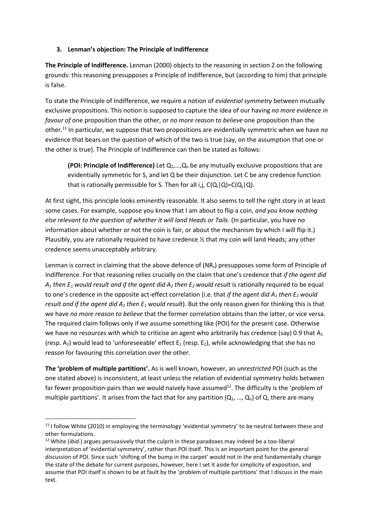## 3. Lenman's objection: The Principle of Indifference

The Principle of Indifference. Lenman (2000) objects to the reasoning in section 2 on the following grounds: this reasoning presupposes a Principle of Indifference, but (according to him) that principle is false.

To state the Principle of Indifference, we require a notion of *evidential symmetry* between mutually exclusive propositions. This notion is supposed to capture the idea of our having no more evidence in favour of one proposition than the other, or no more reason to believe one proposition than the other.<sup>11</sup> In particular, we suppose that two propositions are evidentially symmetric when we have no evidence that bears on the question of which of the two is true (say, on the assumption that one or the other is true). The Principle of Indifference can then be stated as follows:

(POI: Principle of Indifference) Let  $Q_1,...,Q_n$  be any mutually exclusive propositions that are evidentially symmetric for S, and let Q be their disjunction. Let C be any credence function that is rationally permissible for S. Then for all i, j,  $C(Q_i|Q) = C(Q_i|Q)$ .

At first sight, this principle looks eminently reasonable. It also seems to tell the right story in at least some cases. For example, suppose you know that I am about to flip a coin, and you know nothing else relevant to the question of whether it will land Heads or Tails. (In particular, you have no information about whether or not the coin is fair, or about the mechanism by which I will flip it.) Plausibly, you are rationally required to have credence  $\frac{1}{2}$  that my coin will land Heads; any other credence seems unacceptably arbitrary.

Lenman is correct in claiming that the above defence of (NR<sub>s</sub>) presupposes some form of Principle of Indifference. For that reasoning relies crucially on the claim that one's credence that if the agent did  $A_1$  then  $E_1$  would result and if the agent did  $A_2$  then  $E_2$  would result is rationally required to be equal to one's credence in the opposite act-effect correlation (i.e. that if the agent did  $A_1$  then  $E_2$  would result and if the agent did  $A_2$  then  $E_1$  would result). But the only reason given for thinking this is that we have no more reason to believe that the former correlation obtains than the latter, or vice versa. The required claim follows only if we assume something like (POI) for the present case. Otherwise we have no resources with which to criticise an agent who arbitrarily has credence (say) 0.9 that  $A_1$ (resp.  $A_2$ ) would lead to 'unforeseeable' effect  $E_1$  (resp.  $E_2$ ), while acknowledging that she has no reason for favouring this correlation over the other.

The 'problem of multiple partitions'. As is well known, however, an *unrestricted* POI (such as the one stated above) is inconsistent, at least unless the relation of evidential symmetry holds between far fewer proposition-pairs than we would naively have assumed<sup>12</sup>. The difficulty is the 'problem of multiple partitions'. It arises from the fact that for any partition  $\{Q_1, ..., Q_n\}$  of Q, there are many

 $11$  I follow White (2010) in employing the terminology 'evidential symmetry' to be neutral between these and other formulations.

 $12$  White (*ibid.*) argues persuasively that the culprit in these paradoxes may indeed be a too-liberal interpretation of 'evidential symmetry', rather than POI itself. This is an important point for the general discussion of POI. Since such 'shifting of the bump in the carpet' would not in the end fundamentally change the state of the debate for current purposes, however, here I set it aside for simplicity of exposition, and assume that POI itself is shown to be at fault by the 'problem of multiple partitions' that I discuss in the main text.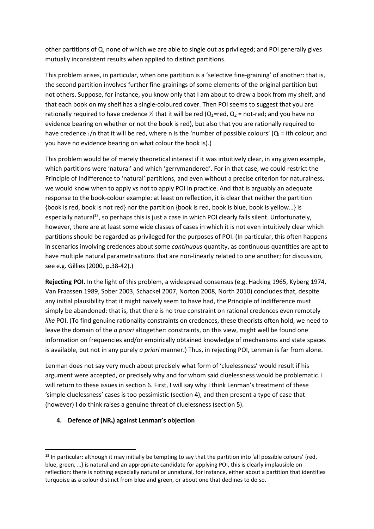other partitions of Q, none of which we are able to single out as privileged; and POI generally gives mutually inconsistent results when applied to distinct partitions.

This problem arises, in particular, when one partition is a 'selective fine-graining' of another: that is, the second partition involves further fine-grainings of some elements of the original partition but not others. Suppose, for instance, you know only that I am about to draw a book from my shelf, and that each book on my shelf has a single-coloured cover. Then POI seems to suggest that you are rationally required to have credence  $\frac{1}{2}$  that it will be red (Q<sub>1</sub>=red, Q<sub>2</sub> = not-red; and you have no evidence bearing on whether or not the book is red), but also that you are rationally required to have credence  $1/n$  that it will be red, where n is the 'number of possible colours' ( $Q_i$  = ith colour; and you have no evidence bearing on what colour the book is).)

This problem would be of merely theoretical interest if it was intuitively clear, in any given example, which partitions were 'natural' and which 'gerrymandered'. For in that case, we could restrict the Principle of Indifference to 'natural' partitions, and even without a precise criterion for naturalness, we would know when to apply vs not to apply POI in practice. And that is arguably an adequate response to the book-colour example: at least on reflection, it is clear that neither the partition {book is red, book is not red} nor the partition {book is red, book is blue, book is yellow…} is especially natural<sup>13</sup>, so perhaps this is just a case in which POI clearly falls silent. Unfortunately, however, there are at least some wide classes of cases in which it is not even intuitively clear which partitions should be regarded as privileged for the purposes of POI. (In particular, this often happens in scenarios involving credences about some *continuous* quantity, as continuous quantities are apt to have multiple natural parametrisations that are non-linearly related to one another; for discussion, see e.g. Gillies (2000, p.38-42).)

Rejecting POI. In the light of this problem, a widespread consensus (e.g. Hacking 1965, Kyberg 1974, Van Fraassen 1989, Sober 2003, Schackel 2007, Norton 2008, North 2010) concludes that, despite any initial plausibility that it might naively seem to have had, the Principle of Indifference must simply be abandoned: that is, that there is no true constraint on rational credences even remotely like POI. (To find genuine rationality constraints on credences, these theorists often hold, we need to leave the domain of the *a priori* altogether: constraints, on this view, might well be found one information on frequencies and/or empirically obtained knowledge of mechanisms and state spaces is available, but not in any purely *a priori* manner.) Thus, in rejecting POI, Lenman is far from alone.

Lenman does not say very much about precisely what form of 'cluelessness' would result if his argument were accepted, or precisely why and for whom said cluelessness would be problematic. I will return to these issues in section 6. First, I will say why I think Lenman's treatment of these 'simple cluelessness' cases is too pessimistic (section 4), and then present a type of case that (however) I do think raises a genuine threat of cluelessness (section 5).

## 4. Defence of (NRs) against Lenman's objection

 $13$  In particular: although it may initially be tempting to say that the partition into 'all possible colours' {red, blue, green, …} is natural and an appropriate candidate for applying POI, this is clearly implausible on reflection: there is nothing especially natural or unnatural, for instance, either about a partition that identifies turquoise as a colour distinct from blue and green, or about one that declines to do so.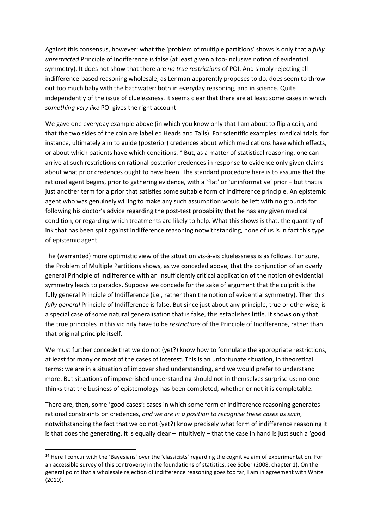Against this consensus, however: what the 'problem of multiple partitions' shows is only that a fully unrestricted Principle of Indifference is false (at least given a too-inclusive notion of evidential symmetry). It does not show that there are no true restrictions of POI. And simply rejecting all indifference-based reasoning wholesale, as Lenman apparently proposes to do, does seem to throw out too much baby with the bathwater: both in everyday reasoning, and in science. Quite independently of the issue of cluelessness, it seems clear that there are at least some cases in which something very like POI gives the right account.

We gave one everyday example above (in which you know only that I am about to flip a coin, and that the two sides of the coin are labelled Heads and Tails). For scientific examples: medical trials, for instance, ultimately aim to guide (posterior) credences about which medications have which effects, or about which patients have which conditions.<sup>14</sup> But, as a matter of statistical reasoning, one can arrive at such restrictions on rational posterior credences in response to evidence only given claims about what prior credences ought to have been. The standard procedure here is to assume that the rational agent begins, prior to gathering evidence, with a `flat' or `uninformative' prior – but that is just another term for a prior that satisfies some suitable form of indifference principle. An epistemic agent who was genuinely willing to make any such assumption would be left with no grounds for following his doctor's advice regarding the post-test probability that he has any given medical condition, or regarding which treatments are likely to help. What this shows is that, the quantity of ink that has been spilt against indifference reasoning notwithstanding, none of us is in fact this type of epistemic agent.

The (warranted) more optimistic view of the situation vis-à-vis cluelessness is as follows. For sure, the Problem of Multiple Partitions shows, as we conceded above, that the conjunction of an overly general Principle of Indifference with an insufficiently critical application of the notion of evidential symmetry leads to paradox. Suppose we concede for the sake of argument that the culprit is the fully general Principle of Indifference (i.e., rather than the notion of evidential symmetry). Then this fully general Principle of Indifference is false. But since just about any principle, true or otherwise, is a special case of some natural generalisation that is false, this establishes little. It shows only that the true principles in this vicinity have to be restrictions of the Principle of Indifference, rather than that original principle itself.

We must further concede that we do not (yet?) know how to formulate the appropriate restrictions, at least for many or most of the cases of interest. This is an unfortunate situation, in theoretical terms: we are in a situation of impoverished understanding, and we would prefer to understand more. But situations of impoverished understanding should not in themselves surprise us: no-one thinks that the business of epistemology has been completed, whether or not it is completable.

There are, then, some 'good cases': cases in which some form of indifference reasoning generates rational constraints on credences, and we are in a position to recognise these cases as such, notwithstanding the fact that we do not (yet?) know precisely what form of indifference reasoning it is that does the generating. It is equally clear – intuitively – that the case in hand is just such a 'good

<sup>&</sup>lt;sup>14</sup> Here I concur with the 'Bayesians' over the 'classicists' regarding the cognitive aim of experimentation. For an accessible survey of this controversy in the foundations of statistics, see Sober (2008, chapter 1). On the general point that a wholesale rejection of indifference reasoning goes too far, I am in agreement with White (2010).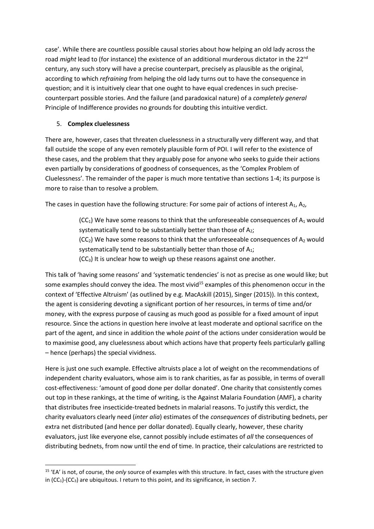case'. While there are countless possible causal stories about how helping an old lady across the road might lead to (for instance) the existence of an additional murderous dictator in the 22<sup>nd</sup> century, any such story will have a precise counterpart, precisely as plausible as the original, according to which refraining from helping the old lady turns out to have the consequence in question; and it is intuitively clear that one ought to have equal credences in such precisecounterpart possible stories. And the failure (and paradoxical nature) of a completely general Principle of Indifference provides no grounds for doubting this intuitive verdict.

## 5. Complex cluelessness

-

There are, however, cases that threaten cluelessness in a structurally very different way, and that fall outside the scope of any even remotely plausible form of POI. I will refer to the existence of these cases, and the problem that they arguably pose for anyone who seeks to guide their actions even partially by considerations of goodness of consequences, as the 'Complex Problem of Cluelessness'. The remainder of the paper is much more tentative than sections 1-4; its purpose is more to raise than to resolve a problem.

The cases in question have the following structure: For some pair of actions of interest  $A_1$ ,  $A_2$ ,

 $(CC<sub>1</sub>)$  We have some reasons to think that the unforeseeable consequences of  $A<sub>1</sub>$  would systematically tend to be substantially better than those of  $A_2$ ;  $(CC<sub>2</sub>)$  We have some reasons to think that the unforeseeable consequences of A<sub>2</sub> would systematically tend to be substantially better than those of A<sub>1</sub>;  $(CC<sub>3</sub>)$  It is unclear how to weigh up these reasons against one another.

This talk of 'having some reasons' and 'systematic tendencies' is not as precise as one would like; but some examples should convey the idea. The most vivid<sup>15</sup> examples of this phenomenon occur in the context of 'Effective Altruism' (as outlined by e.g. MacAskill (2015), Singer (2015)). In this context, the agent is considering devoting a significant portion of her resources, in terms of time and/or money, with the express purpose of causing as much good as possible for a fixed amount of input resource. Since the actions in question here involve at least moderate and optional sacrifice on the part of the agent, and since in addition the whole point of the actions under consideration would be to maximise good, any cluelessness about which actions have that property feels particularly galling – hence (perhaps) the special vividness.

Here is just one such example. Effective altruists place a lot of weight on the recommendations of independent charity evaluators, whose aim is to rank charities, as far as possible, in terms of overall cost-effectiveness: 'amount of good done per dollar donated'. One charity that consistently comes out top in these rankings, at the time of writing, is the Against Malaria Foundation (AMF), a charity that distributes free insecticide-treated bednets in malarial reasons. To justify this verdict, the charity evaluators clearly need (inter alia) estimates of the consequences of distributing bednets, per extra net distributed (and hence per dollar donated). Equally clearly, however, these charity evaluators, just like everyone else, cannot possibly include estimates of all the consequences of distributing bednets, from now until the end of time. In practice, their calculations are restricted to

<sup>&</sup>lt;sup>15</sup> 'EA' is not, of course, the only source of examples with this structure. In fact, cases with the structure given in (CC<sub>1</sub>)-(CC<sub>3</sub>) are ubiquitous. I return to this point, and its significance, in section 7.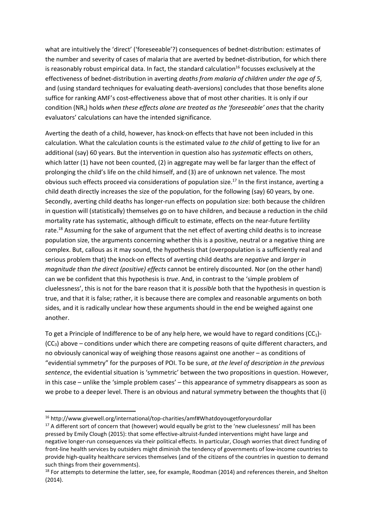what are intuitively the 'direct' ('foreseeable'?) consequences of bednet-distribution: estimates of the number and severity of cases of malaria that are averted by bednet-distribution, for which there is reasonably robust empirical data. In fact, the standard calculation<sup>16</sup> focusses exclusively at the effectiveness of bednet-distribution in averting deaths from malaria of children under the age of 5, and (using standard techniques for evaluating death-aversions) concludes that those benefits alone suffice for ranking AMF's cost-effectiveness above that of most other charities. It is only if our condition (NR<sub>s</sub>) holds when these effects alone are treated as the 'foreseeable' ones that the charity evaluators' calculations can have the intended significance.

Averting the death of a child, however, has knock-on effects that have not been included in this calculation. What the calculation counts is the estimated value to the child of getting to live for an additional (say) 60 years. But the intervention in question also has systematic effects on others, which latter (1) have not been counted, (2) in aggregate may well be far larger than the effect of prolonging the child's life on the child himself, and (3) are of unknown net valence. The most obvious such effects proceed via considerations of population size.<sup>17</sup> In the first instance, averting a child death directly increases the size of the population, for the following (say) 60 years, by one. Secondly, averting child deaths has longer-run effects on population size: both because the children in question will (statistically) themselves go on to have children, and because a reduction in the child mortality rate has systematic, although difficult to estimate, effects on the near-future fertility rate.<sup>18</sup> Assuming for the sake of argument that the net effect of averting child deaths is to increase population size, the arguments concerning whether this is a positive, neutral or a negative thing are complex. But, callous as it may sound, the hypothesis that (overpopulation is a sufficiently real and serious problem that) the knock-on effects of averting child deaths are negative and larger in magnitude than the direct (positive) effects cannot be entirely discounted. Nor (on the other hand) can we be confident that this hypothesis is true. And, in contrast to the 'simple problem of cluelessness', this is not for the bare reason that it is *possible* both that the hypothesis in question is true, and that it is false; rather, it is because there are complex and reasonable arguments on both sides, and it is radically unclear how these arguments should in the end be weighed against one another.

To get a Principle of Indifference to be of any help here, we would have to regard conditions (CC1)-  $(CC<sub>3</sub>)$  above – conditions under which there are competing reasons of quite different characters, and no obviously canonical way of weighing those reasons against one another – as conditions of "evidential symmetry" for the purposes of POI. To be sure, at the level of description in the previous sentence, the evidential situation is 'symmetric' between the two propositions in question. However, in this case – unlike the 'simple problem cases' – this appearance of symmetry disappears as soon as we probe to a deeper level. There is an obvious and natural symmetry between the thoughts that (i)

<sup>16</sup> http://www.givewell.org/international/top-charities/amf#Whatdoyougetforyourdollar

<sup>&</sup>lt;sup>17</sup> A different sort of concern that (however) would equally be grist to the 'new cluelessness' mill has been pressed by Emily Clough (2015): that some effective-altruist-funded interventions might have large and negative longer-run consequences via their political effects. In particular, Clough worries that direct funding of front-line health services by outsiders might diminish the tendency of governments of low-income countries to provide high-quality healthcare services themselves (and of the citizens of the countries in question to demand such things from their governments).

<sup>&</sup>lt;sup>18</sup> For attempts to determine the latter, see, for example, Roodman (2014) and references therein, and Shelton (2014).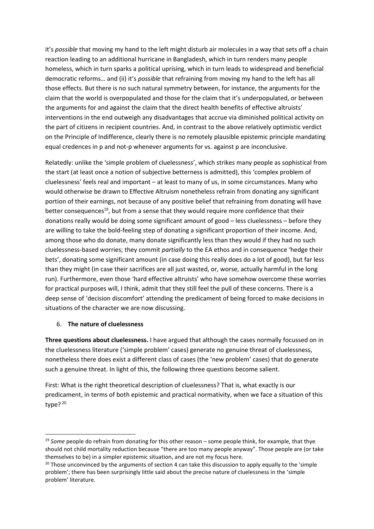it's possible that moving my hand to the left might disturb air molecules in a way that sets off a chain reaction leading to an additional hurricane in Bangladesh, which in turn renders many people homeless, which in turn sparks a political uprising, which in turn leads to widespread and beneficial democratic reforms... and (ii) it's possible that refraining from moving my hand to the left has all those effects. But there is no such natural symmetry between, for instance, the arguments for the claim that the world is overpopulated and those for the claim that it's underpopulated, or between the arguments for and against the claim that the direct health benefits of effective altruists' interventions in the end outweigh any disadvantages that accrue via diminished political activity on the part of citizens in recipient countries. And, in contrast to the above relatively optimistic verdict on the Principle of Indifference, clearly there is no remotely plausible epistemic principle mandating equal credences in p and not-p whenever arguments for vs. against p are inconclusive.

Relatedly: unlike the 'simple problem of cluelessness', which strikes many people as sophistical from the start (at least once a notion of subjective betterness is admitted), this 'complex problem of cluelessness' feels real and important – at least to many of us, in some circumstances. Many who would otherwise be drawn to Effective Altruism nonetheless refrain from donating any significant portion of their earnings, not because of any positive belief that refraining from donating will have better consequences<sup>19</sup>, but from a sense that they would require more confidence that their donations really would be doing some significant amount of good – less cluelessness – before they are willing to take the bold-feeling step of donating a significant proportion of their income. And, among those who do donate, many donate significantly less than they would if they had no such cluelessness-based worries; they commit partially to the EA ethos and in consequence 'hedge their bets', donating some significant amount (in case doing this really does do a lot of good), but far less than they might (in case their sacrifices are all just wasted, or, worse, actually harmful in the long run). Furthermore, even those 'hard effective altruists' who have somehow overcome these worries for practical purposes will, I think, admit that they still feel the pull of these concerns. There is a deep sense of 'decision discomfort' attending the predicament of being forced to make decisions in situations of the character we are now discussing.

## 6. The nature of cluelessness

-

Three questions about cluelessness. I have argued that although the cases normally focussed on in the cluelessness literature ('simple problem' cases) generate no genuine threat of cluelessness, nonetheless there does exist a different class of cases (the 'new problem' cases) that do generate such a genuine threat. In light of this, the following three questions become salient.

First: What is the right theoretical description of cluelessness? That is, what exactly is our predicament, in terms of both epistemic and practical normativity, when we face a situation of this type? $20$ 

 $19$  Some people do refrain from donating for this other reason – some people think, for example, that thye should not child mortality reduction because "there are too many people anyway". Those people are (or take themselves to be) in a simpler epistemic situation, and are not my focus here.

<sup>&</sup>lt;sup>20</sup> Those unconvinced by the arguments of section 4 can take this discussion to apply equally to the 'simple' problem'; there has been surprisingly little said about the precise nature of cluelessness in the 'simple problem' literature.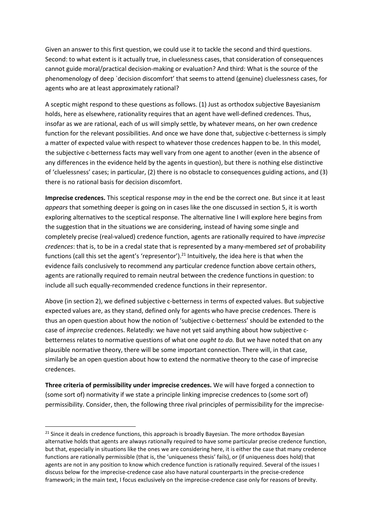Given an answer to this first question, we could use it to tackle the second and third questions. Second: to what extent is it actually true, in cluelessness cases, that consideration of consequences cannot guide moral/practical decision-making or evaluation? And third: What is the source of the phenomenology of deep `decision discomfort' that seems to attend (genuine) cluelessness cases, for agents who are at least approximately rational?

A sceptic might respond to these questions as follows. (1) Just as orthodox subjective Bayesianism holds, here as elsewhere, rationality requires that an agent have well-defined credences. Thus, insofar as we are rational, each of us will simply settle, by whatever means, on her own credence function for the relevant possibilities. And once we have done that, subjective c-betterness is simply a matter of expected value with respect to whatever those credences happen to be. In this model, the subjective c-betterness facts may well vary from one agent to another (even in the absence of any differences in the evidence held by the agents in question), but there is nothing else distinctive of 'cluelessness' cases; in particular, (2) there is no obstacle to consequences guiding actions, and (3) there is no rational basis for decision discomfort.

Imprecise credences. This sceptical response may in the end be the correct one. But since it at least appears that something deeper is going on in cases like the one discussed in section 5, it is worth exploring alternatives to the sceptical response. The alternative line I will explore here begins from the suggestion that in the situations we are considering, instead of having some single and completely precise (real-valued) credence function, agents are rationally required to have imprecise credences: that is, to be in a credal state that is represented by a many-membered set of probability functions (call this set the agent's 'representor').<sup>21</sup> Intuitively, the idea here is that when the evidence fails conclusively to recommend any particular credence function above certain others, agents are rationally required to remain neutral between the credence functions in question: to include all such equally-recommended credence functions in their representor.

Above (in section 2), we defined subjective c-betterness in terms of expected values. But subjective expected values are, as they stand, defined only for agents who have precise credences. There is thus an open question about how the notion of 'subjective c-betterness' should be extended to the case of *imprecise* credences. Relatedly: we have not yet said anything about how subjective cbetterness relates to normative questions of what one *ought to do*. But we have noted that on any plausible normative theory, there will be some important connection. There will, in that case, similarly be an open question about how to extend the normative theory to the case of imprecise credences.

Three criteria of permissibility under imprecise credences. We will have forged a connection to (some sort of) normativity if we state a principle linking imprecise credences to (some sort of) permissibility. Consider, then, the following three rival principles of permissibility for the imprecise-

<sup>&</sup>lt;sup>21</sup> Since it deals in credence functions, this approach is broadly Bayesian. The more orthodox Bayesian alternative holds that agents are always rationally required to have some particular precise credence function, but that, especially in situations like the ones we are considering here, it is either the case that many credence functions are rationally permissible (that is, the 'uniqueness thesis' fails), or (if uniqueness does hold) that agents are not in any position to know which credence function is rationally required. Several of the issues I discuss below for the imprecise-credence case also have natural counterparts in the precise-credence framework; in the main text, I focus exclusively on the imprecise-credence case only for reasons of brevity.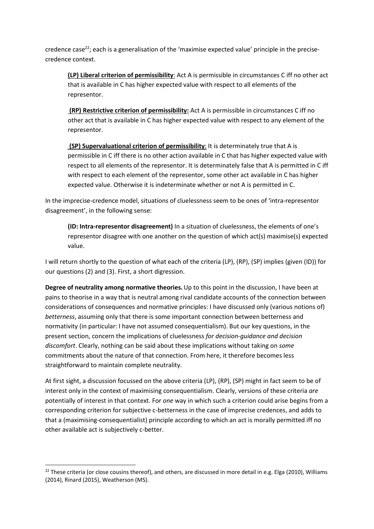credence case<sup>22</sup>; each is a generalisation of the 'maximise expected value' principle in the precisecredence context.

(LP) Liberal criterion of permissibility: Act A is permissible in circumstances C iff no other act that is available in C has higher expected value with respect to all elements of the representor.

 (RP) Restrictive criterion of permissibility: Act A is permissible in circumstances C iff no other act that is available in C has higher expected value with respect to any element of the representor.

 (SP) Supervaluational criterion of permissibility: It is determinately true that A is permissible in C iff there is no other action available in C that has higher expected value with respect to all elements of the representor. It is determinately false that A is permitted in C iff with respect to each element of the representor, some other act available in C has higher expected value. Otherwise it is indeterminate whether or not A is permitted in C.

In the imprecise-credence model, situations of cluelessness seem to be ones of 'intra-representor disagreement', in the following sense:

(ID: Intra-representor disagreement) In a situation of cluelessness, the elements of one's representor disagree with one another on the question of which act(s) maximise(s) expected value.

I will return shortly to the question of what each of the criteria (LP), (RP), (SP) implies (given (ID)) for our questions (2) and (3). First, a short digression.

Degree of neutrality among normative theories. Up to this point in the discussion, I have been at pains to theorise in a way that is neutral among rival candidate accounts of the connection between considerations of consequences and normative principles: I have discussed only (various notions of) betterness, assuming only that there is some important connection between betterness and normativity (in particular: I have not assumed consequentialism). But our key questions, in the present section, concern the implications of cluelessness for decision-guidance and decision discomfort. Clearly, nothing can be said about these implications without taking on some commitments about the nature of that connection. From here, it therefore becomes less straightforward to maintain complete neutrality.

At first sight, a discussion focussed on the above criteria (LP), (RP), (SP) might in fact seem to be of interest only in the context of maximising consequentialism. Clearly, versions of these criteria are potentially of interest in that context. For one way in which such a criterion could arise begins from a corresponding criterion for subjective c-betterness in the case of imprecise credences, and adds to that a (maximising-consequentialist) principle according to which an act is morally permitted iff no other available act is subjectively c-better.

<sup>&</sup>lt;sup>22</sup> These criteria (or close cousins thereof), and others, are discussed in more detail in e.g. Elga (2010), Williams (2014), Rinard (2015), Weatherson (MS).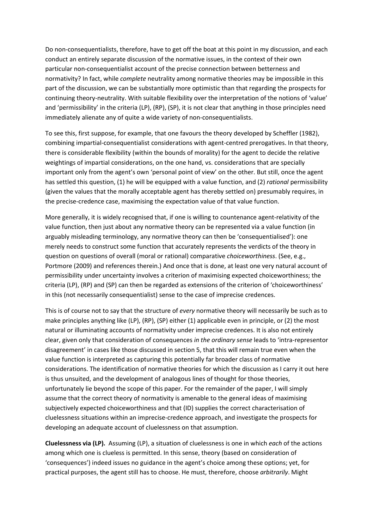Do non-consequentialists, therefore, have to get off the boat at this point in my discussion, and each conduct an entirely separate discussion of the normative issues, in the context of their own particular non-consequentialist account of the precise connection between betterness and normativity? In fact, while complete neutrality among normative theories may be impossible in this part of the discussion, we can be substantially more optimistic than that regarding the prospects for continuing theory-neutrality. With suitable flexibility over the interpretation of the notions of 'value' and 'permissibility' in the criteria (LP), (RP), (SP), it is not clear that anything in those principles need immediately alienate any of quite a wide variety of non-consequentialists.

To see this, first suppose, for example, that one favours the theory developed by Scheffler (1982), combining impartial-consequentialist considerations with agent-centred prerogatives. In that theory, there is considerable flexibility (within the bounds of morality) for the agent to decide the relative weightings of impartial considerations, on the one hand, vs. considerations that are specially important only from the agent's own 'personal point of view' on the other. But still, once the agent has settled this question, (1) he will be equipped with a value function, and (2) rational permissibility (given the values that the morally acceptable agent has thereby settled on) presumably requires, in the precise-credence case, maximising the expectation value of that value function.

More generally, it is widely recognised that, if one is willing to countenance agent-relativity of the value function, then just about any normative theory can be represented via a value function (in arguably misleading terminology, any normative theory can then be 'consequentialised'): one merely needs to construct some function that accurately represents the verdicts of the theory in question on questions of overall (moral or rational) comparative choiceworthiness. (See, e.g., Portmore (2009) and references therein.) And once that is done, at least one very natural account of permissibility under uncertainty involves a criterion of maximising expected choiceworthiness; the criteria (LP), (RP) and (SP) can then be regarded as extensions of the criterion of 'choiceworthiness' in this (not necessarily consequentialist) sense to the case of imprecise credences.

This is of course not to say that the structure of every normative theory will necessarily be such as to make principles anything like (LP), (RP), (SP) either (1) applicable even in principle, or (2) the most natural or illuminating accounts of normativity under imprecise credences. It is also not entirely clear, given only that consideration of consequences in the ordinary sense leads to 'intra-representor disagreement' in cases like those discussed in section 5, that this will remain true even when the value function is interpreted as capturing this potentially far broader class of normative considerations. The identification of normative theories for which the discussion as I carry it out here is thus unsuited, and the development of analogous lines of thought for those theories, unfortunately lie beyond the scope of this paper. For the remainder of the paper, I will simply assume that the correct theory of normativity is amenable to the general ideas of maximising subjectively expected choiceworthiness and that (ID) supplies the correct characterisation of cluelessness situations within an imprecise-credence approach, and investigate the prospects for developing an adequate account of cluelessness on that assumption.

Cluelessness via (LP). Assuming (LP), a situation of cluelessness is one in which each of the actions among which one is clueless is permitted. In this sense, theory (based on consideration of 'consequences') indeed issues no guidance in the agent's choice among these options; yet, for practical purposes, the agent still has to choose. He must, therefore, choose arbitrarily. Might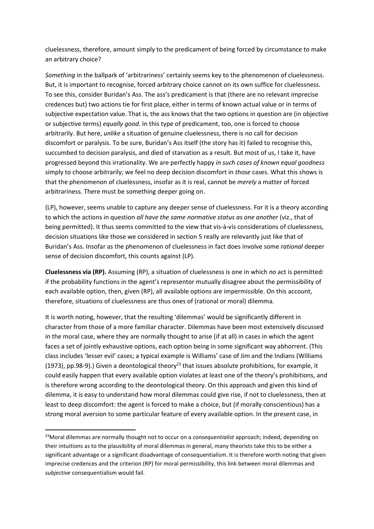cluelessness, therefore, amount simply to the predicament of being forced by circumstance to make an arbitrary choice?

Something in the ballpark of 'arbitrariness' certainly seems key to the phenomenon of cluelessness. But, it is important to recognise, forced arbitrary choice cannot on its own suffice for cluelessness. To see this, consider Buridan's Ass. The ass's predicament is that (there are no relevant imprecise credences but) two actions tie for first place, either in terms of known actual value or in terms of subjective expectation value. That is, the ass knows that the two options in question are (in objective or subjective terms) equally good. In this type of predicament, too, one is forced to choose arbitrarily. But here, unlike a situation of genuine cluelessness, there is no call for decision discomfort or paralysis. To be sure, Buridan's Ass itself (the story has it) failed to recognise this, succumbed to decision paralysis, and died of starvation as a result. But most of us, I take it, have progressed beyond this irrationality. We are perfectly happy in such cases of known equal goodness simply to choose arbitrarily; we feel no deep decision discomfort in those cases. What this shows is that the phenomenon of cluelessness, insofar as it is real, cannot be *merely* a matter of forced arbitrariness. There must be something deeper going on.

(LP), however, seems unable to capture any deeper sense of cluelessness. For it is a theory according to which the actions in question all have the same normative status as one another (viz., that of being permitted). It thus seems committed to the view that vis-à-vis considerations of cluelessness, decision situations like those we considered in section 5 really are relevantly just like that of Buridan's Ass. Insofar as the phenomenon of cluelessness in fact does involve some rational deeper sense of decision discomfort, this counts against (LP).

Cluelessness via (RP). Assuming (RP), a situation of cluelessness is one in which no act is permitted: if the probability functions in the agent's representor mutually disagree about the permissibility of each available option, then, given (RP), all available options are impermissible. On this account, therefore, situations of cluelessness are thus ones of (rational or moral) dilemma.

It is worth noting, however, that the resulting 'dilemmas' would be significantly different in character from those of a more familiar character. Dilemmas have been most extensively discussed in the moral case, where they are normally thought to arise (if at all) in cases in which the agent faces a set of jointly exhaustive options, each option being in some significant way abhorrent. (This class includes 'lesser evil' cases; a typical example is Williams' case of Jim and the Indians (Williams (1973), pp.98-9).) Given a deontological theory<sup>23</sup> that issues absolute prohibitions, for example, it could easily happen that every available option violates at least one of the theory's prohibitions, and is therefore wrong according to the deontological theory. On this approach and given this kind of dilemma, it is easy to understand how moral dilemmas could give rise, if not to cluelessness, then at least to deep discomfort: the agent is forced to make a choice, but (if morally conscientious) has a strong moral aversion to some particular feature of every available option. In the present case, in

 $23$ Moral dilemmas are normally thought not to occur on a *consequentialist* approach; indeed, depending on their intuitions as to the plausibility of moral dilemmas in general, many theorists take this to be either a significant advantage or a significant disadvantage of consequentialism. It is therefore worth noting that given imprecise credences and the criterion (RP) for moral permissibility, this link between moral dilemmas and subjective consequentialism would fail.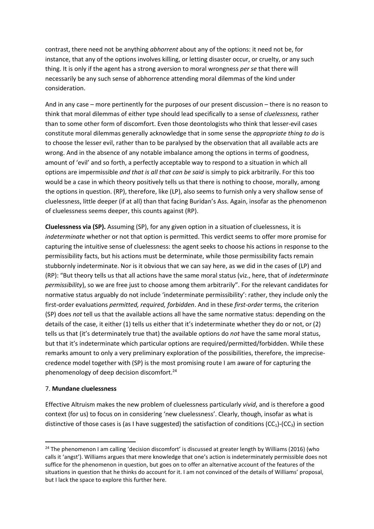contrast, there need not be anything abhorrent about any of the options: it need not be, for instance, that any of the options involves killing, or letting disaster occur, or cruelty, or any such thing. It is only if the agent has a strong aversion to moral wrongness per se that there will necessarily be any such sense of abhorrence attending moral dilemmas of the kind under consideration.

And in any case – more pertinently for the purposes of our present discussion – there is no reason to think that moral dilemmas of either type should lead specifically to a sense of *cluelessness*, rather than to some other form of discomfort. Even those deontologists who think that lesser-evil cases constitute moral dilemmas generally acknowledge that in some sense the appropriate thing to do is to choose the lesser evil, rather than to be paralysed by the observation that all available acts are wrong. And in the absence of any notable imbalance among the options in terms of goodness, amount of 'evil' and so forth, a perfectly acceptable way to respond to a situation in which all options are impermissible and that is all that can be said is simply to pick arbitrarily. For this too would be a case in which theory positively tells us that there is nothing to choose, morally, among the options in question. (RP), therefore, like (LP), also seems to furnish only a very shallow sense of cluelessness, little deeper (if at all) than that facing Buridan's Ass. Again, insofar as the phenomenon of cluelessness seems deeper, this counts against (RP).

Cluelessness via (SP). Assuming (SP), for any given option in a situation of cluelessness, it is indeterminate whether or not that option is permitted. This verdict seems to offer more promise for capturing the intuitive sense of cluelessness: the agent seeks to choose his actions in response to the permissibility facts, but his actions must be determinate, while those permissibility facts remain stubbornly indeterminate. Nor is it obvious that we can say here, as we did in the cases of (LP) and (RP): "But theory tells us that all actions have the same moral status (viz., here, that of indeterminate permissibility), so we are free just to choose among them arbitrarily". For the relevant candidates for normative status arguably do not include 'indeterminate permissibility': rather, they include only the first-order evaluations permitted, required, forbidden. And in these first-order terms, the criterion (SP) does not tell us that the available actions all have the same normative status: depending on the details of the case, it either (1) tells us either that it's indeterminate whether they do or not, or (2) tells us that (it's determinately true that) the available options do not have the same moral status, but that it's indeterminate which particular options are required/permitted/forbidden. While these remarks amount to only a very preliminary exploration of the possibilities, therefore, the imprecisecredence model together with (SP) is the most promising route I am aware of for capturing the phenomenology of deep decision discomfort.<sup>24</sup>

#### 7. Mundane cluelessness

-

Effective Altruism makes the new problem of cluelessness particularly vivid, and is therefore a good context (for us) to focus on in considering 'new cluelessness'. Clearly, though, insofar as what is distinctive of those cases is (as I have suggested) the satisfaction of conditions ( $CC<sub>1</sub>$ )-( $CC<sub>3</sub>$ ) in section

<sup>&</sup>lt;sup>24</sup> The phenomenon I am calling 'decision discomfort' is discussed at greater length by Williams (2016) (who calls it 'angst'). Williams argues that mere knowledge that one's action is indeterminately permissible does not suffice for the phenomenon in question, but goes on to offer an alternative account of the features of the situations in question that he thinks do account for it. I am not convinced of the details of Williams' proposal, but I lack the space to explore this further here.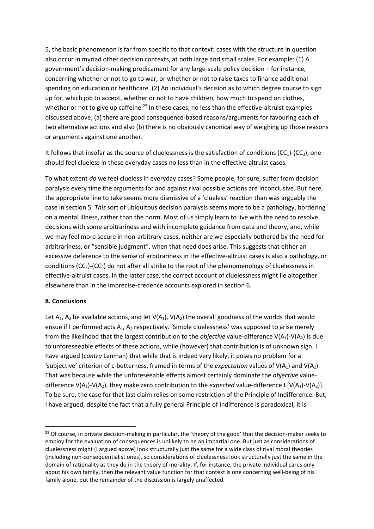5, the basic phenomenon is far from specific to that context: cases with the structure in question also occur in myriad other decision contexts, at both large and small scales. For example: (1) A government's decision-making predicament for any large-scale policy decision – for instance, concerning whether or not to go to war, or whether or not to raise taxes to finance additional spending on education or healthcare. (2) An individual's decision as to which degree course to sign up for, which job to accept, whether or not to have children, how much to spend on clothes, whether or not to give up caffeine.<sup>25</sup> In these cases, no less than the effective-altruist examples discussed above, (a) there are good consequence-based reasons/arguments for favouring each of two alternative actions and also (b) there is no obviously canonical way of weighing up those reasons or arguments against one another.

It follows that insofar as the source of cluelessness is the satisfaction of conditions  $(CC<sub>1</sub>)(CC<sub>3</sub>)$ , one should feel clueless in these everyday cases no less than in the effective-altruist cases.

To what extent do we feel clueless in everyday cases? Some people, for sure, suffer from decision paralysis every time the arguments for and against rival possible actions are inconclusive. But here, the appropriate line to take seems more dismissive of a 'clueless' reaction than was arguably the case in section 5. This sort of ubiquitous decision paralysis seems more to be a pathology, bordering on a mental illness, rather than the norm. Most of us simply learn to live with the need to resolve decisions with some arbitrariness and with incomplete guidance from data and theory, and, while we may feel more secure in non-arbitrary cases, neither are we especially bothered by the need for arbitrariness, or "sensible judgment", when that need does arise. This suggests that either an excessive deference to the sense of arbitrariness in the effective-altruist cases is also a pathology, or conditions  $(CC<sub>1</sub>)(CC<sub>3</sub>)$  do not after all strike to the root of the phenomenology of cluelessness in effective-altruist cases. In the latter case, the correct account of cluelessness might lie altogether elsewhere than in the imprecise-credence accounts explored in section 6.

#### 8. Conclusions

-

Let  $A_1$ ,  $A_2$  be available actions, and let  $V(A_1)$ ,  $V(A_2)$  the overall goodness of the worlds that would ensue if I performed acts A<sub>1</sub>, A<sub>2</sub> respectively. 'Simple cluelessness' was supposed to arise merely from the likelihood that the largest contribution to the *objective* value-difference  $V(A_1)-V(A_2)$  is due to unforeseeable effects of these actions, while (however) that contribution is of unknown sign. I have argued (contra Lenman) that while that is indeed very likely, it poses no problem for a 'subjective' criterion of c-betterness, framed in terms of the *expectation* values of  $V(A_1)$  and  $V(A_2)$ . That was because while the unforeseeable effects almost certainly dominate the *objective* valuedifference  $V(A_1)-V(A_2)$ , they make zero contribution to the *expected* value-difference  $E[V(A_1)-V(A_2)]$ . To be sure, the case for that last claim relies on some restriction of the Principle of Indifference. But, I have argued, despite the fact that a fully general Principle of Indifference is paradoxical, it is

<sup>&</sup>lt;sup>25</sup> Of course, in private decision-making in particular, the 'theory of the good' that the decision-maker seeks to employ for the evaluation of consequences is unlikely to be an impartial one. But just as considerations of cluelessness might (I argued above) look structurally just the same for a wide class of rival moral theories (including non-consequentialist ones), so considerations of cluelessness look structurally just the same in the domain of rationality as they do in the theory of morality. If, for instance, the private individual cares only about his own family, then the relevant value function for that context is one concerning well-being of his family alone, but the remainder of the discussion is largely unaffected.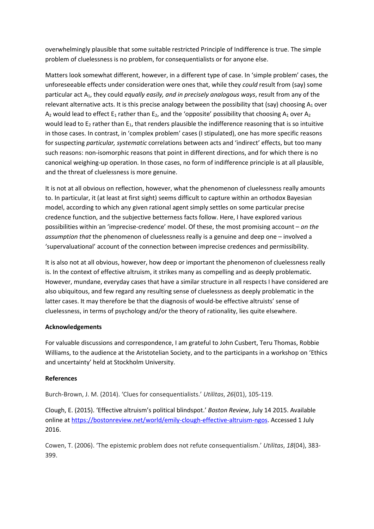overwhelmingly plausible that some suitable restricted Principle of Indifference is true. The simple problem of cluelessness is no problem, for consequentialists or for anyone else.

Matters look somewhat different, however, in a different type of case. In 'simple problem' cases, the unforeseeable effects under consideration were ones that, while they could result from (say) some particular act  $A_1$ , they could equally easily, and in precisely analogous ways, result from any of the relevant alternative acts. It is this precise analogy between the possibility that (say) choosing  $A_1$  over  $A_2$  would lead to effect  $E_1$  rather than  $E_2$ , and the 'opposite' possibility that choosing  $A_1$  over  $A_2$ would lead to  $E_2$  rather than  $E_1$ , that renders plausible the indifference reasoning that is so intuitive in those cases. In contrast, in 'complex problem' cases (I stipulated), one has more specific reasons for suspecting particular, systematic correlations between acts and 'indirect' effects, but too many such reasons: non-isomorphic reasons that point in different directions, and for which there is no canonical weighing-up operation. In those cases, no form of indifference principle is at all plausible, and the threat of cluelessness is more genuine.

It is not at all obvious on reflection, however, what the phenomenon of cluelessness really amounts to. In particular, it (at least at first sight) seems difficult to capture within an orthodox Bayesian model, according to which any given rational agent simply settles on some particular precise credence function, and the subjective betterness facts follow. Here, I have explored various possibilities within an 'imprecise-credence' model. Of these, the most promising account – on the assumption that the phenomenon of cluelessness really is a genuine and deep one – involved a 'supervaluational' account of the connection between imprecise credences and permissibility.

It is also not at all obvious, however, how deep or important the phenomenon of cluelessness really is. In the context of effective altruism, it strikes many as compelling and as deeply problematic. However, mundane, everyday cases that have a similar structure in all respects I have considered are also ubiquitous, and few regard any resulting sense of cluelessness as deeply problematic in the latter cases. It may therefore be that the diagnosis of would-be effective altruists' sense of cluelessness, in terms of psychology and/or the theory of rationality, lies quite elsewhere.

## Acknowledgements

For valuable discussions and correspondence, I am grateful to John Cusbert, Teru Thomas, Robbie Williams, to the audience at the Aristotelian Society, and to the participants in a workshop on 'Ethics and uncertainty' held at Stockholm University.

## References

Burch-Brown, J. M. (2014). 'Clues for consequentialists.' Utilitas, 26(01), 105-119.

Clough, E. (2015). 'Effective altruism's political blindspot.' Boston Review, July 14 2015. Available online at https://bostonreview.net/world/emily-clough-effective-altruism-ngos. Accessed 1 July 2016.

Cowen, T. (2006). 'The epistemic problem does not refute consequentialism.' Utilitas, 18(04), 383- 399.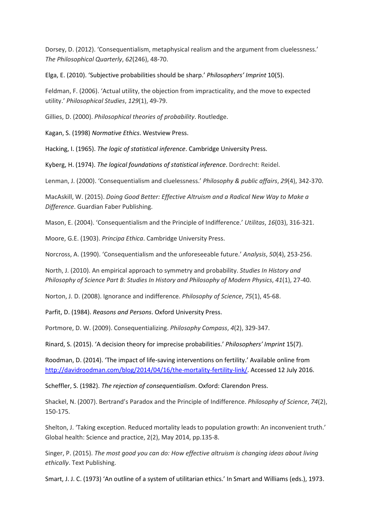Dorsey, D. (2012). 'Consequentialism, metaphysical realism and the argument from cluelessness.' The Philosophical Quarterly, 62(246), 48-70.

Elga, E. (2010). 'Subjective probabilities should be sharp.' Philosophers' Imprint 10(5).

Feldman, F. (2006). 'Actual utility, the objection from impracticality, and the move to expected utility.' Philosophical Studies, 129(1), 49-79.

Gillies, D. (2000). Philosophical theories of probability. Routledge.

Kagan, S. (1998) Normative Ethics. Westview Press.

Hacking, I. (1965). The logic of statistical inference. Cambridge University Press.

Kyberg, H. (1974). The logical foundations of statistical inference. Dordrecht: Reidel.

Lenman, J. (2000). 'Consequentialism and cluelessness.' Philosophy & public affairs, 29(4), 342-370.

MacAskill, W. (2015). Doing Good Better: Effective Altruism and a Radical New Way to Make a Difference. Guardian Faber Publishing.

Mason, E. (2004). 'Consequentialism and the Principle of Indifference.' Utilitas, 16(03), 316-321.

Moore, G.E. (1903). Principa Ethica. Cambridge University Press.

Norcross, A. (1990). 'Consequentialism and the unforeseeable future.' Analysis, 50(4), 253-256.

North, J. (2010). An empirical approach to symmetry and probability. Studies In History and Philosophy of Science Part B: Studies In History and Philosophy of Modern Physics, 41(1), 27-40.

Norton, J. D. (2008). Ignorance and indifference. Philosophy of Science, 75(1), 45-68.

Parfit, D. (1984). Reasons and Persons. Oxford University Press.

Portmore, D. W. (2009). Consequentializing. Philosophy Compass, 4(2), 329-347.

Rinard, S. (2015). 'A decision theory for imprecise probabilities.' Philosophers' Imprint 15(7).

Roodman, D. (2014). 'The impact of life-saving interventions on fertility.' Available online from http://davidroodman.com/blog/2014/04/16/the-mortality-fertility-link/. Accessed 12 July 2016.

Scheffler, S. (1982). The rejection of consequentialism. Oxford: Clarendon Press.

Shackel, N. (2007). Bertrand's Paradox and the Principle of Indifference. Philosophy of Science, 74(2), 150-175.

Shelton, J. 'Taking exception. Reduced mortality leads to population growth: An inconvenient truth.' Global health: Science and practice, 2(2), May 2014, pp.135-8.

Singer, P. (2015). The most good you can do: How effective altruism is changing ideas about living ethically. Text Publishing.

Smart, J. J. C. (1973) 'An outline of a system of utilitarian ethics.' In Smart and Williams (eds.), 1973.